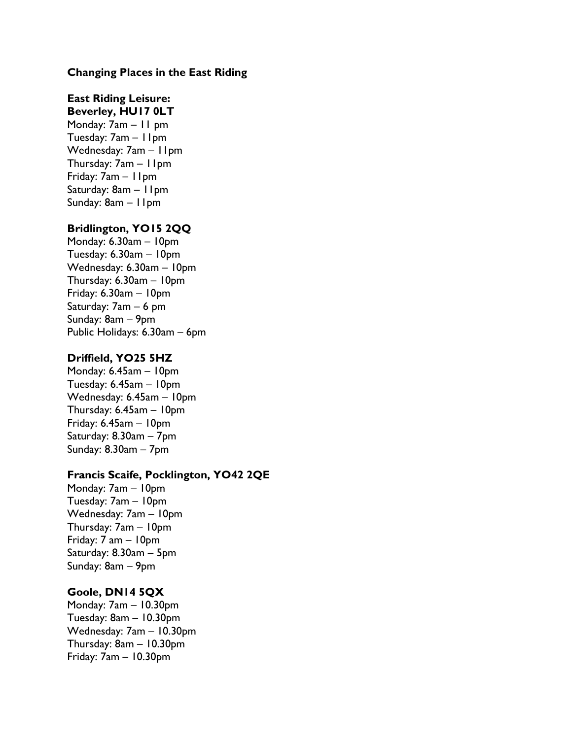### **Changing Places in the East Riding**

### **East Riding Leisure: Beverley, HU17 0LT**

Monday: 7am – 11 pm Tuesday: 7am – 11pm Wednesday: 7am – 11pm Thursday: 7am – 11pm Friday: 7am – 11pm Saturday: 8am – 11pm Sunday: 8am – 11pm

## **Bridlington, YO15 2QQ**

Monday: 6.30am – 10pm Tuesday: 6.30am – 10pm Wednesday: 6.30am – 10pm Thursday: 6.30am – 10pm Friday: 6.30am – 10pm Saturday: 7am – 6 pm Sunday: 8am – 9pm Public Holidays: 6.30am – 6pm

### **Driffield, YO25 5HZ**

Monday: 6.45am – 10pm Tuesday: 6.45am – 10pm Wednesday: 6.45am – 10pm Thursday: 6.45am – 10pm Friday: 6.45am – 10pm Saturday: 8.30am – 7pm Sunday: 8.30am – 7pm

## **Francis Scaife, Pocklington, YO42 2QE**

Monday: 7am – 10pm Tuesday: 7am – 10pm Wednesday: 7am – 10pm Thursday: 7am – 10pm Friday: 7 am – 10pm Saturday: 8.30am – 5pm Sunday: 8am – 9pm

## **Goole, DN14 5QX**

Monday: 7am – 10.30pm Tuesday: 8am – 10.30pm Wednesday: 7am – 10.30pm Thursday: 8am – 10.30pm Friday: 7am – 10.30pm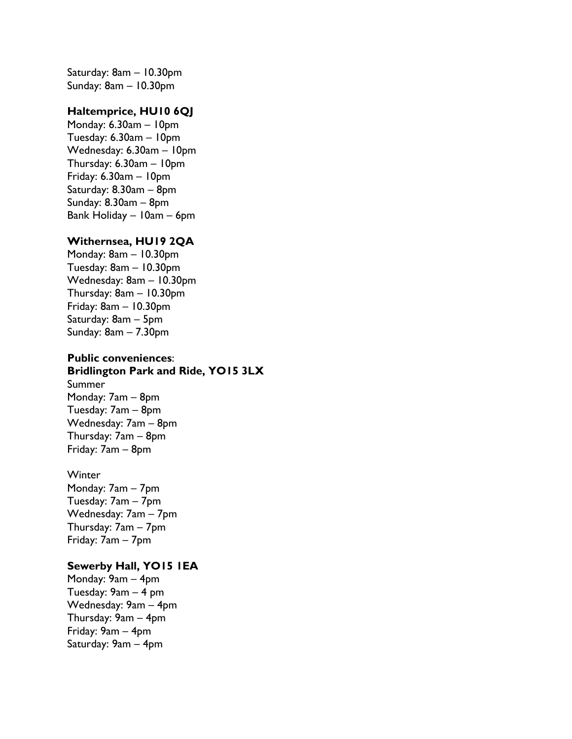Saturday: 8am – 10.30pm Sunday: 8am – 10.30pm

## **Haltemprice, HU10 6QJ**

Monday: 6.30am – 10pm Tuesday: 6.30am – 10pm Wednesday: 6.30am – 10pm Thursday: 6.30am – 10pm Friday: 6.30am – 10pm Saturday: 8.30am – 8pm Sunday: 8.30am – 8pm Bank Holiday – 10am – 6pm

#### **Withernsea, HU19 2QA**

Monday: 8am – 10.30pm Tuesday: 8am – 10.30pm Wednesday: 8am – 10.30pm Thursday: 8am – 10.30pm Friday: 8am – 10.30pm Saturday: 8am – 5pm Sunday: 8am – 7.30pm

## **Public conveniences**: **Bridlington Park and Ride, YO15 3LX** Summer Monday: 7am – 8pm Tuesday: 7am – 8pm Wednesday: 7am – 8pm Thursday: 7am – 8pm

Friday: 7am – 8pm

#### **Winter**

Monday: 7am – 7pm Tuesday: 7am – 7pm Wednesday: 7am – 7pm Thursday: 7am – 7pm Friday: 7am – 7pm

## **Sewerby Hall, YO15 1EA**

Monday: 9am – 4pm Tuesday: 9am – 4 pm Wednesday: 9am – 4pm Thursday: 9am – 4pm Friday: 9am – 4pm Saturday: 9am – 4pm